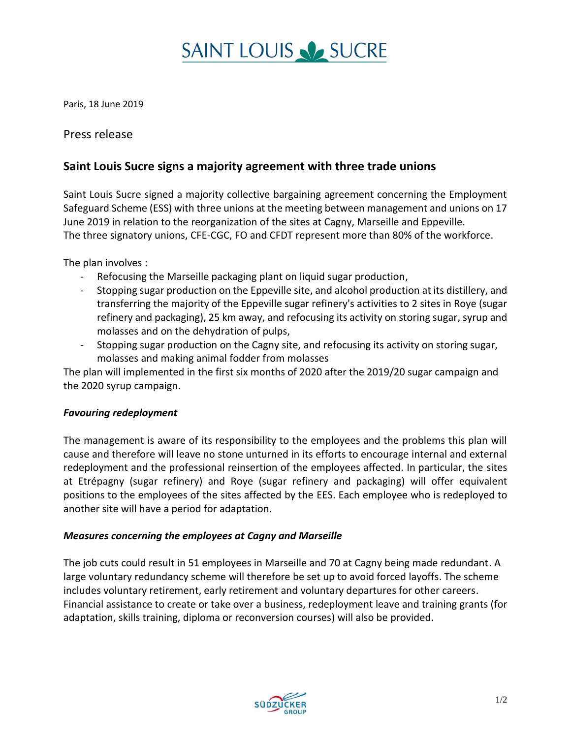# **SAINT LOUIS V SUCRE**

Paris, 18 June 2019

### Press release

### **Saint Louis Sucre signs a majority agreement with three trade unions**

Saint Louis Sucre signed a majority collective bargaining agreement concerning the Employment Safeguard Scheme (ESS) with three unions at the meeting between management and unions on 17 June 2019 in relation to the reorganization of the sites at Cagny, Marseille and Eppeville. The three signatory unions, CFE-CGC, FO and CFDT represent more than 80% of the workforce.

The plan involves :

- Refocusing the Marseille packaging plant on liquid sugar production,
- Stopping sugar production on the Eppeville site, and alcohol production at its distillery, and transferring the majority of the Eppeville sugar refinery's activities to 2 sites in Roye (sugar refinery and packaging), 25 km away, and refocusing its activity on storing sugar, syrup and molasses and on the dehydration of pulps,
- Stopping sugar production on the Cagny site, and refocusing its activity on storing sugar, molasses and making animal fodder from molasses

The plan will implemented in the first six months of 2020 after the 2019/20 sugar campaign and the 2020 syrup campaign.

### *Favouring redeployment*

The management is aware of its responsibility to the employees and the problems this plan will cause and therefore will leave no stone unturned in its efforts to encourage internal and external redeployment and the professional reinsertion of the employees affected. In particular, the sites at Etrépagny (sugar refinery) and Roye (sugar refinery and packaging) will offer equivalent positions to the employees of the sites affected by the EES. Each employee who is redeployed to another site will have a period for adaptation.

### *Measures concerning the employees at Cagny and Marseille*

The job cuts could result in 51 employees in Marseille and 70 at Cagny being made redundant. A large voluntary redundancy scheme will therefore be set up to avoid forced layoffs. The scheme includes voluntary retirement, early retirement and voluntary departures for other careers. Financial assistance to create or take over a business, redeployment leave and training grants (for adaptation, skills training, diploma or reconversion courses) will also be provided.